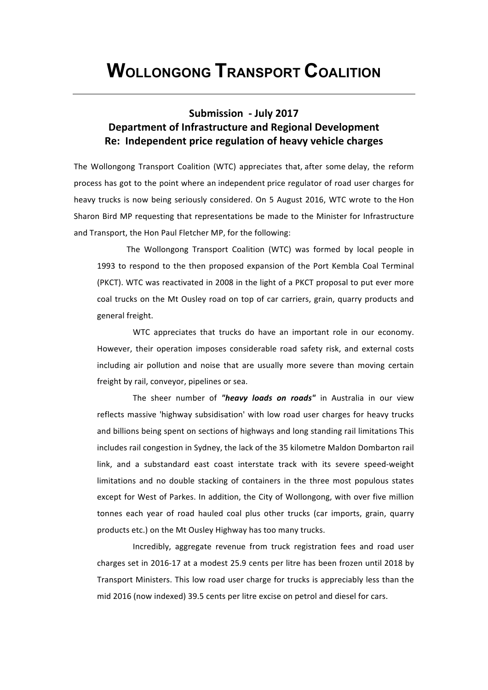# Submission - July 2017 **Department of Infrastructure and Regional Development Re:** Independent price regulation of heavy vehicle charges

The Wollongong Transport Coalition (WTC) appreciates that, after some delay, the reform process has got to the point where an independent price regulator of road user charges for heavy trucks is now being seriously considered. On 5 August 2016, WTC wrote to the Hon Sharon Bird MP requesting that representations be made to the Minister for Infrastructure and Transport, the Hon Paul Fletcher MP, for the following:

The Wollongong Transport Coalition (WTC) was formed by local people in 1993 to respond to the then proposed expansion of the Port Kembla Coal Terminal (PKCT). WTC was reactivated in 2008 in the light of a PKCT proposal to put ever more coal trucks on the Mt Ousley road on top of car carriers, grain, quarry products and general freight.

WTC appreciates that trucks do have an important role in our economy. However, their operation imposes considerable road safety risk, and external costs including air pollution and noise that are usually more severe than moving certain freight by rail, conveyor, pipelines or sea.

The sheer number of "heavy loads on roads" in Australia in our view reflects massive 'highway subsidisation' with low road user charges for heavy trucks and billions being spent on sections of highways and long standing rail limitations This includes rail congestion in Sydney, the lack of the 35 kilometre Maldon Dombarton rail link, and a substandard east coast interstate track with its severe speed-weight limitations and no double stacking of containers in the three most populous states except for West of Parkes. In addition, the City of Wollongong, with over five million tonnes each year of road hauled coal plus other trucks (car imports, grain, quarry products etc.) on the Mt Ousley Highway has too many trucks.

Incredibly, aggregate revenue from truck registration fees and road user charges set in 2016-17 at a modest 25.9 cents per litre has been frozen until 2018 by Transport Ministers. This low road user charge for trucks is appreciably less than the mid 2016 (now indexed) 39.5 cents per litre excise on petrol and diesel for cars.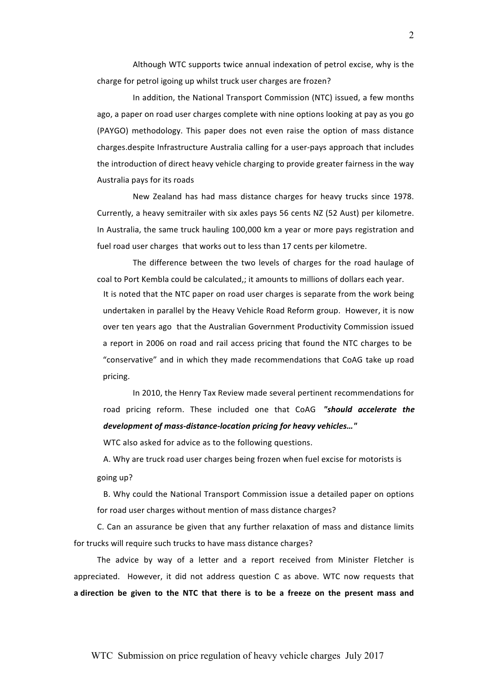Although WTC supports twice annual indexation of petrol excise, why is the charge for petrol igoing up whilst truck user charges are frozen?

In addition, the National Transport Commission (NTC) issued, a few months ago, a paper on road user charges complete with nine options looking at pay as you go (PAYGO) methodology. This paper does not even raise the option of mass distance charges.despite Infrastructure Australia calling for a user-pays approach that includes the introduction of direct heavy vehicle charging to provide greater fairness in the way Australia pays for its roads

New Zealand has had mass distance charges for heavy trucks since 1978. Currently, a heavy semitrailer with six axles pays 56 cents NZ (52 Aust) per kilometre. In Australia, the same truck hauling 100,000 km a year or more pays registration and fuel road user charges that works out to less than 17 cents per kilometre.

The difference between the two levels of charges for the road haulage of coal to Port Kembla could be calculated,; it amounts to millions of dollars each year. It is noted that the NTC paper on road user charges is separate from the work being undertaken in parallel by the Heavy Vehicle Road Reform group. However, it is now over ten years ago that the Australian Government Productivity Commission issued a report in 2006 on road and rail access pricing that found the NTC charges to be "conservative" and in which they made recommendations that CoAG take up road\$ pricing.

In 2010, the Henry Tax Review made several pertinent recommendations for road pricing reform. These included one that CoAG "should accelerate the development of mass-distance-location pricing for heavy vehicles..."

WTC also asked for advice as to the following questions.

A. Why are truck road user charges being frozen when fuel excise for motorists is going up?

B. Why could the National Transport Commission issue a detailed paper on options for road user charges without mention of mass distance charges?

C. Can an assurance be given that any further relaxation of mass and distance limits for trucks will require such trucks to have mass distance charges?

The advice by way of a letter and a report received from Minister Fletcher is appreciated. However, it did not address question C as above. WTC now requests that a direction be given to the NTC that there is to be a freeze on the present mass and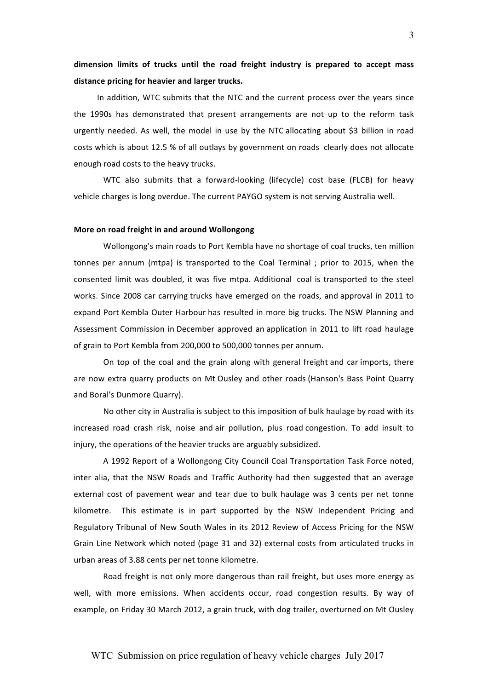# dimension limits of trucks until the road freight industry is prepared to accept mass distance pricing for heavier and larger trucks.

In addition, WTC submits that the NTC and the current process over the years since the 1990s has demonstrated that present arrangements are not up to the reform task urgently needed. As well, the model in use by the NTC allocating about \$3 billion in road costs which is about 12.5 % of all outlays by government on roads clearly does not allocate enough road costs to the heavy trucks.

WTC also submits that a forward-looking (lifecycle) cost base (FLCB) for heavy vehicle charges is long overdue. The current PAYGO system is not serving Australia well.

### **More on road freight in and around Wollongong**

Wollongong's main roads to Port Kembla have no shortage of coal trucks, ten million tonnes per annum (mtpa) is transported to the Coal Terminal ; prior to 2015, when the consented limit was doubled, it was five mtpa. Additional coal is transported to the steel works. Since 2008 car carrying trucks have emerged on the roads, and approval in 2011 to expand Port Kembla Outer Harbour has resulted in more big trucks. The NSW Planning and Assessment Commission in December approved an application in 2011 to lift road haulage of grain to Port Kembla from 200,000 to 500,000 tonnes per annum.

On top of the coal and the grain along with general freight and car imports, there are now extra quarry products on Mt Ousley and other roads (Hanson's Bass Point Quarry and Boral's Dunmore Quarry).

No other city in Australia is subject to this imposition of bulk haulage by road with its increased road crash risk, noise and air pollution, plus road congestion. To add insult to injury, the operations of the heavier trucks are arguably subsidized.

A 1992 Report of a Wollongong City Council Coal Transportation Task Force noted, inter alia, that the NSW Roads and Traffic Authority had then suggested that an average external cost of pavement wear and tear due to bulk haulage was 3 cents per net tonne kilometre. This estimate is in part supported by the NSW Independent Pricing and Regulatory Tribunal of New South Wales in its 2012 Review of Access Pricing for the NSW Grain Line Network which noted (page 31 and 32) external costs from articulated trucks in urban areas of 3.88 cents per net tonne kilometre.

Road freight is not only more dangerous than rail freight, but uses more energy as well, with more emissions. When accidents occur, road congestion results. By way of example, on Friday 30 March 2012, a grain truck, with dog trailer, overturned on Mt Ousley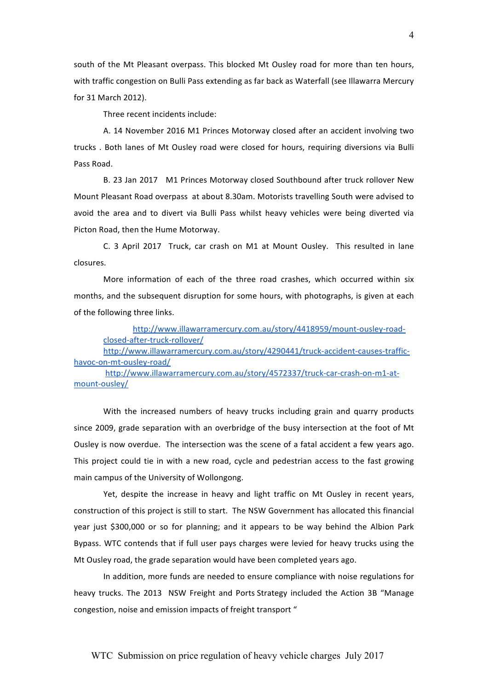south of the Mt Pleasant overpass. This blocked Mt Ousley road for more than ten hours, with traffic congestion on Bulli Pass extending as far back as Waterfall (see Illawarra Mercury for 31 March 2012).

Three recent incidents include:

A. 14 November 2016 M1 Princes Motorway closed after an accident involving two trucks . Both lanes of Mt Ousley road were closed for hours, requiring diversions via Bulli Pass Road.

B. 23 Jan 2017 M1 Princes Motorway closed Southbound after truck rollover New Mount Pleasant Road overpass at about 8.30am. Motorists travelling South were advised to avoid the area and to divert via Bulli Pass whilst heavy vehicles were being diverted via Picton Road, then the Hume Motorway.

C. 3 April 2017 Truck, car crash on M1 at Mount Ousley. This resulted in lane closures.

More information of each of the three road crashes, which occurred within six months, and the subsequent disruption for some hours, with photographs, is given at each of the following three links.

http://www.illawarramercury.com.au/story/4418959/mount-ousley-roadclosed-after-truck-rollover/

http://www.illawarramercury.com.au/story/4290441/truck-accident-causes-traffichavoc-on-mt-ousley-road/

http://www.illawarramercury.com.au/story/4572337/truck-car-crash-on-m1-atmount-ousley/

With the increased numbers of heavy trucks including grain and quarry products since 2009, grade separation with an overbridge of the busy intersection at the foot of Mt Ousley is now overdue. The intersection was the scene of a fatal accident a few years ago. This project could tie in with a new road, cycle and pedestrian access to the fast growing main campus of the University of Wollongong.

Yet, despite the increase in heavy and light traffic on Mt Ousley in recent years, construction of this project is still to start. The NSW Government has allocated this financial year just \$300,000 or so for planning; and it appears to be way behind the Albion Park Bypass. WTC contends that if full user pays charges were levied for heavy trucks using the Mt Ousley road, the grade separation would have been completed years ago.

In addition, more funds are needed to ensure compliance with noise regulations for heavy trucks. The 2013 NSW Freight and Ports Strategy included the Action 3B "Manage congestion, noise and emission impacts of freight transport "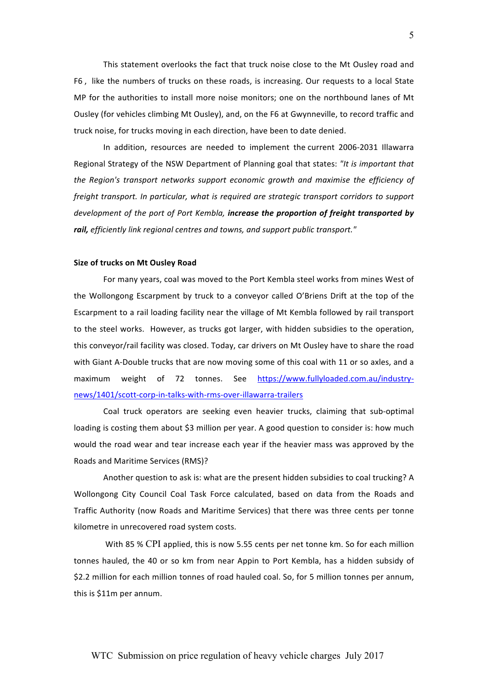This statement overlooks the fact that truck noise close to the Mt Ousley road and F6, like the numbers of trucks on these roads, is increasing. Our requests to a local State MP for the authorities to install more noise monitors; one on the northbound lanes of Mt Ousley (for vehicles climbing Mt Ousley), and, on the F6 at Gwynneville, to record traffic and truck noise, for trucks moving in each direction, have been to date denied.

In addition, resources are needed to implement the current 2006-2031 Illawarra Regional Strategy of the NSW Department of Planning goal that states: "It is important that the Region's transport networks support economic growth and maximise the efficiency of *freight transport. In particular, what is required are strategic transport corridors to support* development of the port of Port Kembla, *increase the proportion of freight transported by* rail, efficiently link regional centres and towns, and support public transport."

#### **Size of trucks on Mt Ousley Road**

For many years, coal was moved to the Port Kembla steel works from mines West of the Wollongong Escarpment by truck to a conveyor called O'Briens Drift at the top of the Escarpment to a rail loading facility near the village of Mt Kembla followed by rail transport to the steel works. However, as trucks got larger, with hidden subsidies to the operation, this conveyor/rail facility was closed. Today, car drivers on Mt Ousley have to share the road with Giant A-Double trucks that are now moving some of this coal with 11 or so axles, and a maximum weight of 72 tonnes. See https://www.fullyloaded.com.au/industrynews/1401/scott-corp-in-talks-with-rms-over-illawarra-trailers

Coal truck operators are seeking even heavier trucks, claiming that sub-optimal loading is costing them about \$3 million per year. A good question to consider is: how much would the road wear and tear increase each year if the heavier mass was approved by the Roads and Maritime Services (RMS)?

Another question to ask is: what are the present hidden subsidies to coal trucking? A Wollongong City Council Coal Task Force calculated, based on data from the Roads and Traffic Authority (now Roads and Maritime Services) that there was three cents per tonne kilometre in unrecovered road system costs.

With 85 % CPI applied, this is now 5.55 cents per net tonne km. So for each million tonnes hauled, the 40 or so km from near Appin to Port Kembla, has a hidden subsidy of \$2.2 million for each million tonnes of road hauled coal. So, for 5 million tonnes per annum, this is  $$11m$  per annum.

## WTC Submission on price regulation of heavy vehicle charges July 2017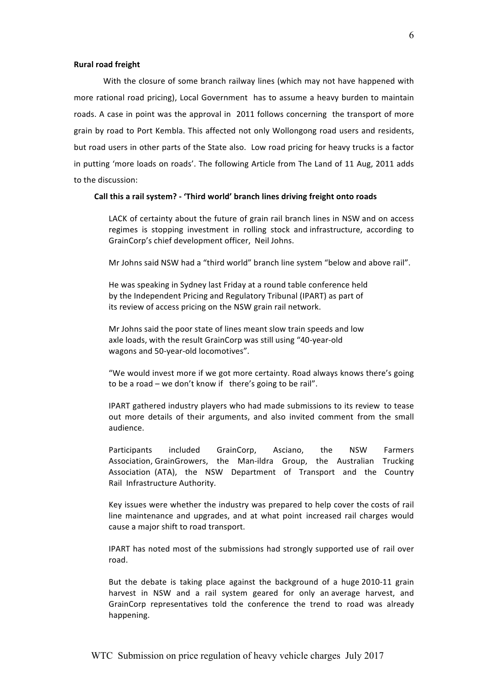## **Rural road freight**

With the closure of some branch railway lines (which may not have happened with more rational road pricing), Local Government has to assume a heavy burden to maintain roads. A case in point was the approval in 2011 follows concerning the transport of more grain by road to Port Kembla. This affected not only Wollongong road users and residents, but road users in other parts of the State also. Low road pricing for heavy trucks is a factor in putting 'more loads on roads'. The following Article from The Land of 11 Aug, 2011 adds to the discussion:

#### **))))))))))Call)this)a)rail)system?)\*)'Third)world')branch)lines)driving)freight onto)roads**

LACK of certainty about the future of grain rail branch lines in NSW and on access regimes is stopping investment in rolling stock and infrastructure, according to GrainCorp's chief development officer, Neil Johns.

Mr Johns said NSW had a "third world" branch line system "below and above rail".

He was speaking in Sydney last Friday at a round table conference held by the Independent Pricing and Regulatory Tribunal (IPART) as part of its review of access pricing on the NSW grain rail network.

Mr Johns said the poor state of lines meant slow train speeds and low axle loads, with the result GrainCorp was still using "40-year-old wagons and 50-year-old locomotives".

"We would invest more if we got more certainty. Road always knows there's going to be a road – we don't know if there's going to be rail".

IPART gathered industry players who had made submissions to its review to tease out more details of their arguments, and also invited comment from the small audience.

Participants included GrainCorp, Asciano, the NSW Farmers Association, GrainGrowers, the Man-ildra Group, the Australian Trucking Association (ATA), the NSW Department of Transport and the Country Rail Infrastructure Authority.

Key issues were whether the industry was prepared to help cover the costs of rail line maintenance and upgrades, and at what point increased rail charges would cause a major shift to road transport.

IPART has noted most of the submissions had strongly supported use of rail over road.

But the debate is taking place against the background of a huge 2010-11 grain harvest in NSW and a rail system geared for only an average harvest, and GrainCorp representatives told the conference the trend to road was already happening.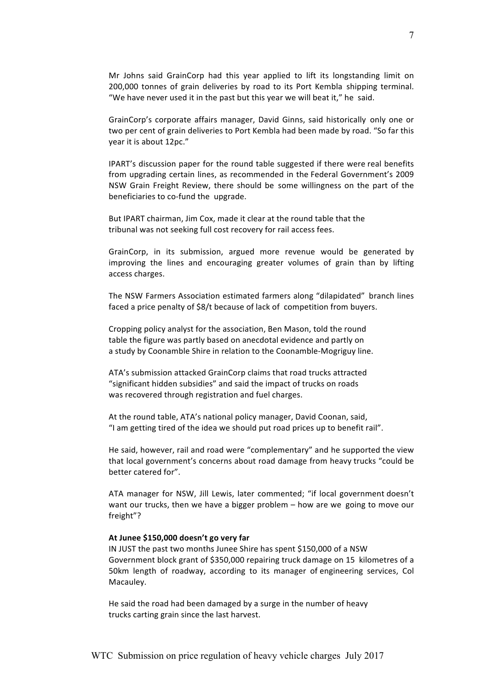Mr Johns said GrainCorp had this year applied to lift its longstanding limit on 200,000 tonnes of grain deliveries by road to its Port Kembla shipping terminal. "We have never used it in the past but this year we will beat it," he said.

GrainCorp's corporate affairs manager, David Ginns, said historically only one or two per cent of grain deliveries to Port Kembla had been made by road. "So far this year it is about 12pc."

IPART's discussion paper for the round table suggested if there were real benefits from upgrading certain lines, as recommended in the Federal Government's 2009 NSW Grain Freight Review, there should be some willingness on the part of the beneficiaries to co-fund the upgrade.

But IPART chairman, Jim Cox, made it clear at the round table that the tribunal was not seeking full cost recovery for rail access fees.

GrainCorp, in its submission, argued more revenue would be generated by improving the lines and encouraging greater volumes of grain than by lifting access charges.

The NSW Farmers Association estimated farmers along "dilapidated" branch lines faced a price penalty of \$8/t because of lack of competition from buyers.

Cropping policy analyst for the association, Ben Mason, told the round table the figure was partly based on anecdotal evidence and partly on a study by Coonamble Shire in relation to the Coonamble-Mogriguy line.

ATA's submission attacked GrainCorp claims that road trucks attracted "significant hidden subsidies" and said the impact of trucks on roads was recovered through registration and fuel charges.

At the round table, ATA's national policy manager, David Coonan, said, "I am getting tired of the idea we should put road prices up to benefit rail".

He said, however, rail and road were "complementary" and he supported the view that local government's concerns about road damage from heavy trucks "could be better catered for".

ATA manager for NSW, Jill Lewis, later commented; "if local government doesn't want our trucks, then we have a bigger problem – how are we going to move our freight"?

## At Junee \$150,000 doesn't go very far

IN JUST the past two months Junee Shire has spent \$150,000 of a NSW Government block grant of \$350,000 repairing truck damage on 15 kilometres of a 50km length of roadway, according to its manager of engineering services, Col Macauley.

He said the road had been damaged by a surge in the number of heavy trucks carting grain since the last harvest.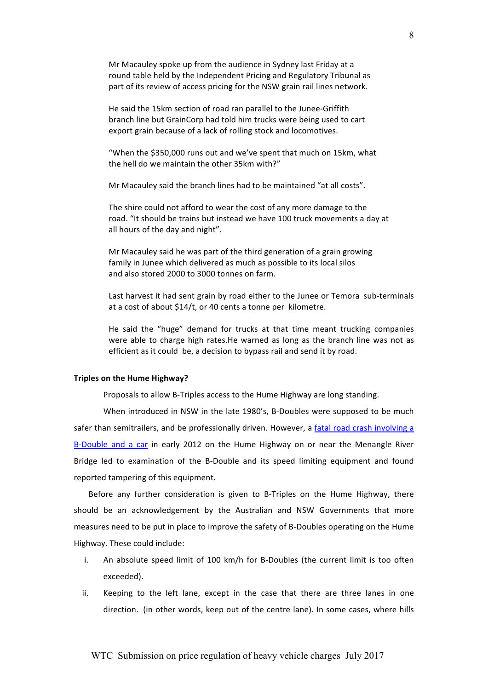Mr Macauley spoke up from the audience in Sydney last Friday at a round table held by the Independent Pricing and Regulatory Tribunal as part of its review of access pricing for the NSW grain rail lines network.

He said the 15km section of road ran parallel to the Junee-Griffith branch line but GrainCorp had told him trucks were being used to cart export grain because of a lack of rolling stock and locomotives.

"When the \$350,000 runs out and we've spent that much on 15km, what the hell do we maintain the other 35km with?"

Mr Macauley said the branch lines had to be maintained "at all costs".

The shire could not afford to wear the cost of any more damage to the road. "It should be trains but instead we have 100 truck movements a day at all hours of the day and night".

Mr Macauley said he was part of the third generation of a grain growing family in Junee which delivered as much as possible to its local silos and also stored 2000 to 3000 tonnes on farm.

Last harvest it had sent grain by road either to the Junee or Temora sub-terminals at a cost of about \$14/t, or 40 cents a tonne per kilometre.

He said the "huge" demand for trucks at that time meant trucking companies were able to charge high rates.He warned as long as the branch line was not as efficient as it could be, a decision to bypass rail and send it by road.

#### **Triples on the Hume Highway?**

Proposals to allow B-Triples access to the Hume Highway are long standing.

When introduced in NSW in the late 1980's, B-Doubles were supposed to be much safer than semitrailers, and be professionally driven. However, a fatal road crash involving a B-Double and a car in early 2012 on the Hume Highway on or near the Menangle River Bridge led to examination of the B-Double and its speed limiting equipment and found reported tampering of this equipment.

Before any further consideration is given to B-Triples on the Hume Highway, there should be an acknowledgement by the Australian and NSW Governments that more measures need to be put in place to improve the safety of B-Doubles operating on the Hume Highway. These could include:

- i. An absolute speed limit of 100 km/h for B-Doubles (the current limit is too often exceeded).
- ii. Keeping to the left lane, except in the case that there are three lanes in one direction. (in other words, keep out of the centre lane). In some cases, where hills

# WTC Submission on price regulation of heavy vehicle charges July 2017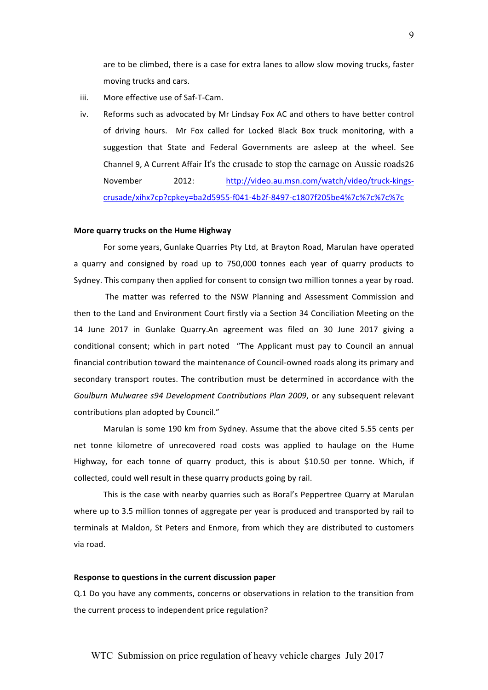are to be climbed, there is a case for extra lanes to allow slow moving trucks, faster moving trucks and cars.

- iii. More effective use of Saf-T-Cam.
- iv. Reforms such as advocated by Mr Lindsay Fox AC and others to have better control of\$ driving\$ hours.\$ \$ Mr\$ Fox\$ called\$ for\$ Locked\$ Black\$ Box\$ truck\$ monitoring,\$ with\$ a suggestion that State and Federal Governments are asleep at the wheel. See Channel 9, A Current Affair It's the crusade to stop the carnage on Aussie roads26 November 2012: http://video.au.msn.com/watch/video/truck-kingscrusade/xihx7cp?cpkey=ba2d5955-f041-4b2f-8497-c1807f205be4%7c%7c%7c%7c

### **More quarry trucks on the Hume Highway**

For some years, Gunlake Quarries Pty Ltd, at Brayton Road, Marulan have operated a quarry and consigned by road up to 750,000 tonnes each year of quarry products to Sydney. This company then applied for consent to consign two million tonnes a year by road.

The matter was referred to the NSW Planning and Assessment Commission and then to the Land and Environment Court firstly via a Section 34 Conciliation Meeting on the 14 June 2017 in Gunlake Quarry.An agreement was filed on 30 June 2017 giving a conditional consent; which in part noted "The Applicant must pay to Council an annual financial contribution toward the maintenance of Council-owned roads along its primary and secondary transport routes. The contribution must be determined in accordance with the Goulburn Mulwaree s94 Development Contributions Plan 2009, or any subsequent relevant contributions plan adopted by Council."

Marulan is some 190 km from Sydney. Assume that the above cited 5.55 cents per net tonne kilometre of unrecovered road costs was applied to haulage on the Hume Highway, for each tonne of quarry product, this is about \$10.50 per tonne. Which, if collected, could well result in these quarry products going by rail.

This is the case with nearby quarries such as Boral's Peppertree Quarry at Marulan where up to 3.5 million tonnes of aggregate per year is produced and transported by rail to terminals at Maldon, St Peters and Enmore, from which they are distributed to customers via road.

## Response to questions in the current discussion paper

Q.1 Do you have any comments, concerns or observations in relation to the transition from the current process to independent price regulation?